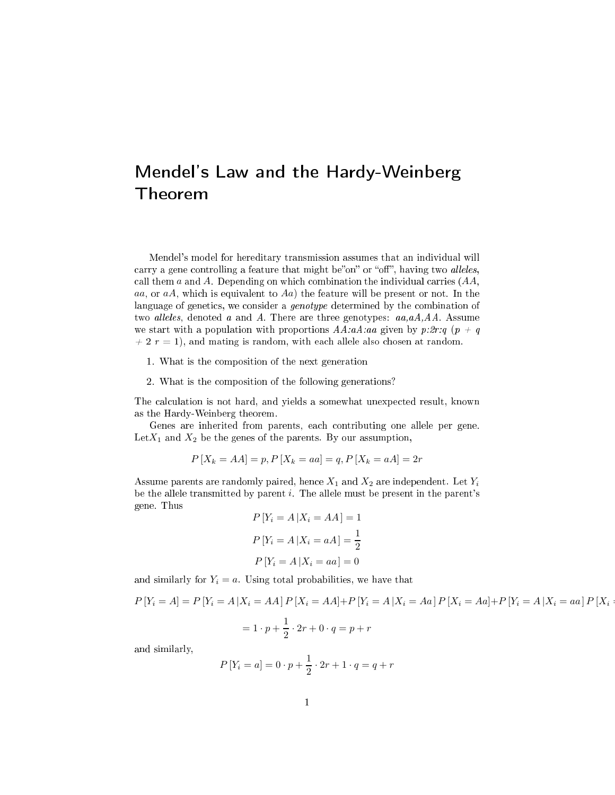## Mendel's Law and the Hardy-Weinberg Theorem

Mendel's model for hereditary transmission assumes that an individual will carry a gene controlling a feature that might be"on" or "off", having two alleles, call them  $a$  and  $A$ . Depending on which combination the individual carries  $(AA, A)$ aa, or  $aA$ , which is equivalent to  $Aa$ ) the feature will be present or not. In the language of genetics, we consider a *genotype* determined by the combination of two alleles, denoted a and A. There are three genotypes:  $aa, aA, AA$ . Assume we start with a population with proportions  $AA:aa:aa$  given by p:2r:q (p + q  $+ 2 r = 1$ , and mating is random, with each allele also chosen at random.

- 1. What is the omposition of the next generation
- 2. What is the omposition of the following generations?

The calculation is not hard, and yields a somewhat unexpected result, known as the Hardy-Weinberg theorem.

Genes are inherited from parents, ea
h ontributing one allele per gene. Let  $X_1$  and  $X_2$  be the genes of the parents. By our assumption,

$$
P[X_k = AA] = p, P[X_k = aa] = q, P[X_k = aA] = 2r
$$

Assume parents are randomly paired, hence  $X_1$  and  $X_2$  are independent. Let  $Y_i$ be the allele transmitted by parent  $i$ . The allele must be present in the parent's gene. Thus  $P[V = 4 | Y = 44]$ 

$$
P[Y_i = A | X_i = AA] = 1
$$
  

$$
P[Y_i = A | X_i = aA] = \frac{1}{2}
$$
  

$$
P[Y_i = A | X_i = aa] = 0
$$

and similarly for  $Y_i = a$ . Using total probabilities, we have that

$$
P[Y_i = A] = P[Y_i = A | X_i = AA] P[X_i = AA] + P[Y_i = A | X_i = Aa] P[X_i = Aa] + P[Y_i = A | X_i = aa] P[X_i = a] - P[X_i = a] P[X_i = a] P[X_i = a] P[X_i = a] P[X_i = a] P[X_i = a] P[X_i = a] P[X_i = a] P[X_i = a] P[X_i = a] P[X_i = a] P[X_i = a] P[X_i = a] P[X_i = a] P[X_i = a] P[X_i = a] P[X_i = a] P[X_i = a] P[X_i = a] P[X_i = a] P[X_i = a] P[X_i = a] P[X_i = a] P[X_i = a] P[X_i = a] P[X_i = a] P[X_i = a] P[X_i = a] P[X_i = a] P[X_i = a] P[X_i = a] P[X_i = a] P[X_i = a] P[X_i = a] P[X_i = a] P[X_i = a] P[X_i = a] P[X_i = a] P[X_i = a] P[X_i = a] P[X_i = a] P[X_i = a] P[X_i = a] P[X_i = a] P[X_i = a] P[X_i = a] P[X_i = a] P[X_i = a] P[X_i = a] P[X_i = a] P[X_i = a] P[X_i = a] P[X_i = a] P[X_i = a] P[X_i = a] P[X_i = a] P[X_i = a] P[X_i = a] P[X_i = a] P[X_i = a] P[X_i = a] P[X_i = a] P[X_i = a] P[X_i = a] P[X_i = a] P[X_i = a] P[X_i = a] P[X_i = a] P[X_i = a] P[X_i = a] P[X_i = a] P[X_i = a] P[X_i = a] P[X_i = a] P[X_i = a] P[X_i = a] P[X_i = a] P[X_i = a] P[X_i = a] P[X_i = a] P[X_i = a] P[X_i = a] P[X_i = a] P[X_i = a] P[X_i = a] P[X_i = a] P[X_i = a] P[X_i = a] P[X_i = a] P[X_i = a] P[X_i = a] P[X_i = a] P[X_i = a] P[X_i = a] P[X_i = a] P[X_i = a] P[X_i = a] P[X_i = a] P[X_i = a] P[X_i = a] P[X_i = a] P[X_i = a] P[X_i = a] P[X_i = a] P[X_i = a] P[X_i = a] P[X_i = a] P[X_i = a] P[X_i = a] P[X_i = a] P[X_i = a] P[X_i = a] P[X_i = a] P[X_i = a] P[X_i = a] P[X_i = a]
$$

and similarly,

$$
P[Y_i = a] = 0 \cdot p + \frac{1}{2} \cdot 2r + 1 \cdot q = q + r
$$